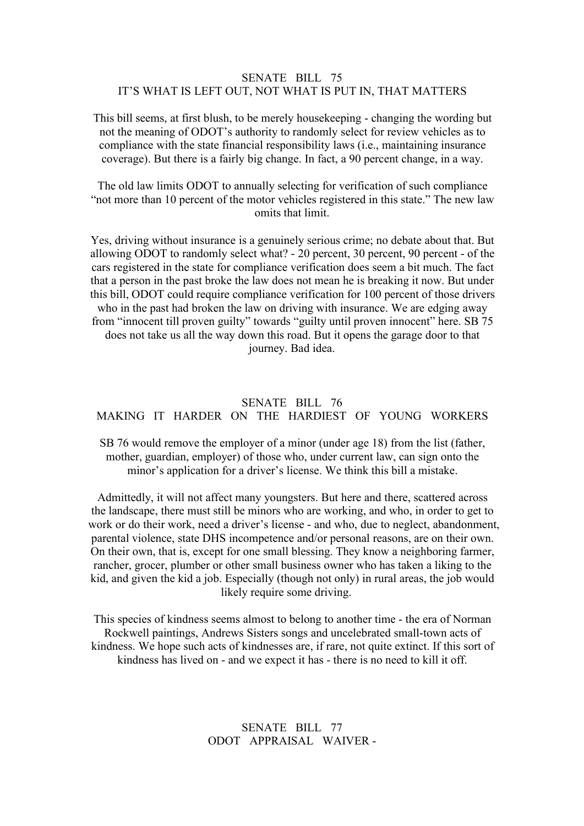#### SENATE BILL 75 IT'S WHAT IS LEFT OUT, NOT WHAT IS PUT IN, THAT MATTERS

This bill seems, at first blush, to be merely housekeeping - changing the wording but not the meaning of ODOT's authority to randomly select for review vehicles as to compliance with the state financial responsibility laws (i.e., maintaining insurance coverage). But there is a fairly big change. In fact, a 90 percent change, in a way.

The old law limits ODOT to annually selecting for verification of such compliance "not more than 10 percent of the motor vehicles registered in this state." The new law omits that limit.

Yes, driving without insurance is a genuinely serious crime; no debate about that. But allowing ODOT to randomly select what? - 20 percent, 30 percent, 90 percent - of the cars registered in the state for compliance verification does seem a bit much. The fact that a person in the past broke the law does not mean he is breaking it now. But under this bill, ODOT could require compliance verification for 100 percent of those drivers who in the past had broken the law on driving with insurance. We are edging away from "innocent till proven guilty" towards "guilty until proven innocent" here. SB 75 does not take us all the way down this road. But it opens the garage doorto that journey. Bad idea.

# SENATE BILL 76 MAKING IT HARDER ON THE HARDIEST OF YOUNG WORKERS

SB 76 would remove the employer of a minor (under age 18) from the list (father, mother, guardian, employer) of those who, under current law, can sign onto the minor's application for a driver's license. We think this bill a mistake.

Admittedly, it will not affect many youngsters. But here and there, scattered across the landscape, there must still be minors who are working, and who, in order to get to work or do their work, need a driver's license - and who, due to neglect, abandonment, parental violence, state DHS incompetence and/or personal reasons, are on their own. On their own, that is, except for one small blessing. They know a neighboring farmer, rancher, grocer, plumber or other small business owner who has taken a liking to the kid, and given the kid a job. Especially (though not only) in rural areas, the job would likely require some driving.

This species of kindness seems almost to belong to another time - the era of Norman Rockwell paintings, Andrews Sisters songs and uncelebrated small-town acts of kindness. We hope such acts of kindnesses are, if rare, not quite extinct. If this sort of kindness has lived on - and we expectit has - there is no need to kill it off.

### SENATE BILL 77 ODOT APPRAISAL WAIVER -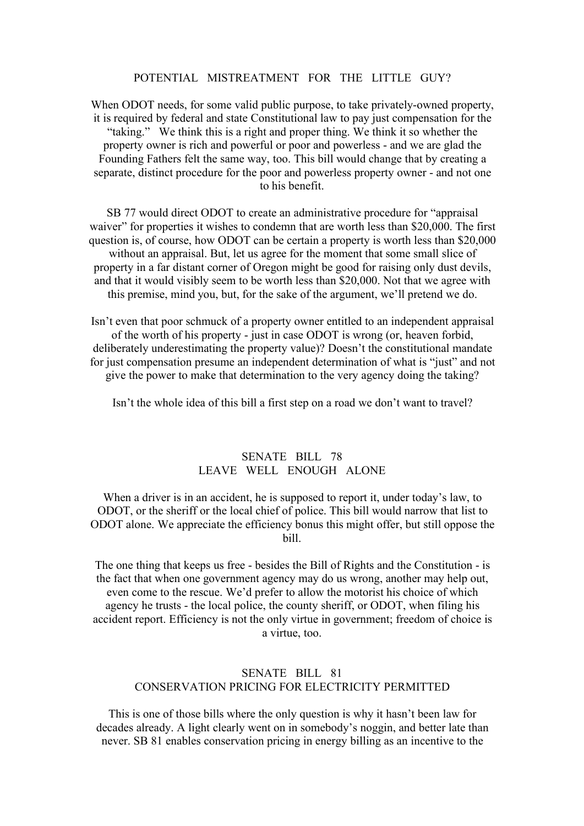#### POTENTIAL MISTREATMENT FOR THE LITTLE GUY?

When ODOT needs, for some valid public purpose, to take privately-owned property, it is required by federal and state Constitutional law to pay just compensation for the "taking." We think this is a right and proper thing. We think it so whether the property owner is rich and powerful or poor and powerless - and we are glad the Founding Fathers felt the same way, too. This bill would change that by creating a separate, distinct procedure for the poorand powerless property owner - and not one to his benefit.<br>SB 77 would direct ODOT to create an administrative procedure for "appraisal

waiver" for properties it wishes to condemn that are worth less than \$20,000. The first question is, of course, how ODOT can be certain a property is worth less than \$20,000 without an appraisal. But, let us agree for the moment that some small slice of property in a far distant corner of Oregon might be good for raising only dust devils, and that it would visibly seem to be worth less than \$20,000. Not that we agree with this premise, mind you, but, for the sake of the argument, we'll pretend we do.

Isn't even that poor schmuck of a property owner entitled to an independent appraisal of the worth of his property - just in case ODOT is wrong (or, heaven forbid, deliberately underestimating the property value)? Doesn't the constitutional mandate for just compensation presume an independent determination of what is "just" and not give the power to make that determination to the very agency doing the taking?

Isn't the whole idea of this bill a first step on a road we don't want to travel?

## SENATE BILL 78 LEAVE WELL ENOUGH ALONE

When a driver is in an accident, he is supposed to report it, under today's law, to ODOT, or the sheriff or the local chief of police. This bill would narrow that list to ODOT alone. We appreciate the efficiency bonus this might offer, but still oppose the bill.

The one thing that keeps us free - besides the Bill of Rights and the Constitution - is the fact that when one government agency may do us wrong, another may help out, even come to the rescue. We'd prefer to allow the motorist his choice of which agency he trusts - the local police, the county sheriff, or ODOT, when filing his accident report. Efficiency is not the only virtue in government; freedom of choice is a virtue, too.

#### SENATE BILL 81 CONSERVATION PRICING FOR ELECTRICITY PERMITTED

This is one of those bills where the only question is why it hasn't been law for decades already. A light clearly went on in somebody's noggin, and better late than never. SB 81 enables conservation pricing in energy billing as an incentive to the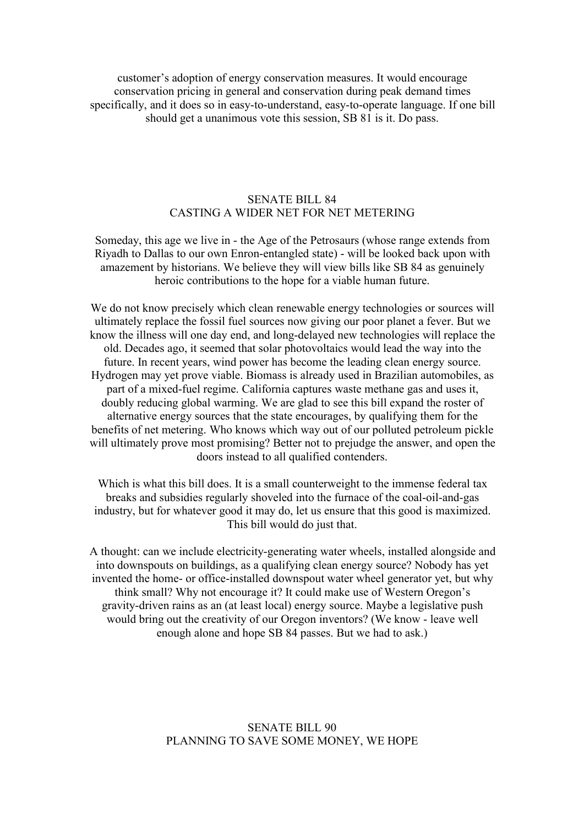customer's adoption of energy conservation measures. It would encourage conservation pricing in general and conservation during peak demand times specifically, and it does so in easy-to-understand, easy-to-operate language. If one bill should get a unanimous vote this session, SB 81 is it. Do pass.

#### SENATE BILL 84 CASTING A WIDER NET FOR NET METERING

Someday, this age we live in - the Age of the Petrosaurs (whose range extends from Riyadh to Dallas to our own Enron-entangled state) - will be looked back upon with amazement by historians. We believe they will view bills like SB 84 as genuinely heroic contributions to the hope for a viable human future.

We do not know precisely which clean renewable energy technologies or sources will ultimately replace the fossil fuel sources now giving our poor planet a fever. But we know the illness will one day end, and long-delayed new technologies will replace the old. Decades ago, it seemed that solar photovoltaics would lead the way into the future. In recent years, wind power has become the leading clean energy source. Hydrogen may yet prove viable. Biomass is already used in Brazilian automobiles, as part of a mixed-fuel regime. California captures waste methane gas and uses it, doubly reducing global warming. We are glad to see this bill expand the roster of alternative energy sources that the state encourages, by qualifying them for the benefits of net metering. Who knows which way out of our polluted petroleum pickle will ultimately prove most promising? Better not to prejudge the answer, and open the doors instead to all qualified contenders.

Which is what this bill does. It is a small counterweight to the immense federal tax breaks and subsidies regularly shoveled into the furnace of the coal-oil-and-gas industry, but for whatever good it may do, let us ensure that this good is maximized. This bill would do just that.

A thought: can we include electricity-generating water wheels, installed alongside and into downspouts on buildings, as a qualifying clean energy source? Nobody has yet invented the home- or office-installed downspout water wheel generator yet, but why think small? Why not encourage it? It could make use of Western Oregon's gravity-driven rains as an (at least local) energy source. Maybe a legislative push would bring out the creativity of our Oregon inventors? (We know - leave well enough alone and hope SB 84 passes. But we had to ask.)

## SENATE BILL 90 PLANNING TO SAVE SOME MONEY, WE HOPE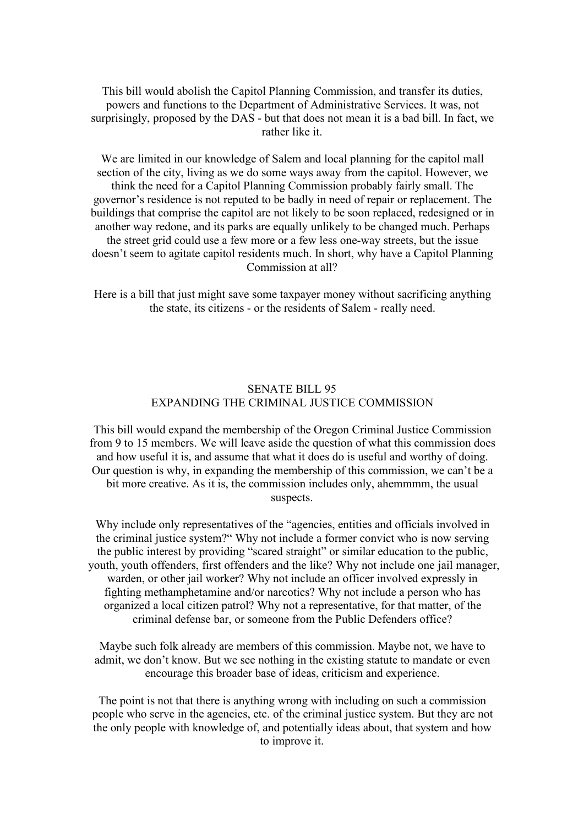This bill would abolish the Capitol Planning Commission, and transfer its duties, powers and functions to the Department of Administrative Services. It was, not surprisingly, proposed by the DAS - but that does not mean it is a bad bill. In fact, we rather like it.

We are limited in our knowledge of Salem and local planning for the capitol mall section of the city, living as we do some ways away from the capitol. However, we think the need for a Capitol Planning Commission probably fairly small. The governor's residence is not reputed to be badly in need of repair or replacement. The buildings that comprise the capitol are not likely to be soon replaced, redesigned or in another way redone, and its parks are equally unlikely to be changed much. Perhaps the street grid could use a few more or a few less one-way streets, but the issue doesn't seem to agitate capitol residents much. In short, why have a Capitol Planning Commission at all?

Here is a bill that just might save some taxpayer money without sacrificing anything the state, its citizens - or the residents of Salem - really need.

### SENATE BILL 95 EXPANDING THECRIMINAL JUSTICE COMMISSION

This bill would expand the membership of the Oregon Criminal Justice Commission from 9 to 15 members. We will leave aside the question of what this commission does and how useful it is, and assume that what it does do is useful and worthy of doing. Our question is why, in expanding the membership of this commission, we can't be a bit more creative. As it is, the commission includes only, ahemmmm, the usual suspects.

Why include only representatives of the "agencies, entities and officials involved in the criminal justice system?" Why not include a former convict who is now serving the public interest by providing "scared straight" or similar education to the public, youth, youth offenders, first offenders and the like? Why not include one jail manager, warden, or other jail worker? Why not include an officer involved expressly in fighting methamphetamine and/or narcotics? Why not include a person who has organized a local citizen patrol? Why not a representative, for that matter, of the criminal defense bar, or someone from the Public Defenders office?

Maybe such folk already are members of this commission. Maybe not, we have to admit, we don't know. But we see nothing in the existing statute to mandate or even encourage this broader base of ideas, criticism and experience.

The point is not that there is anything wrong with including on such a commission people who serve in the agencies, etc. of the criminal justice system. But they are not the only people with knowledge of, and potentially ideas about, that system and how to improve it.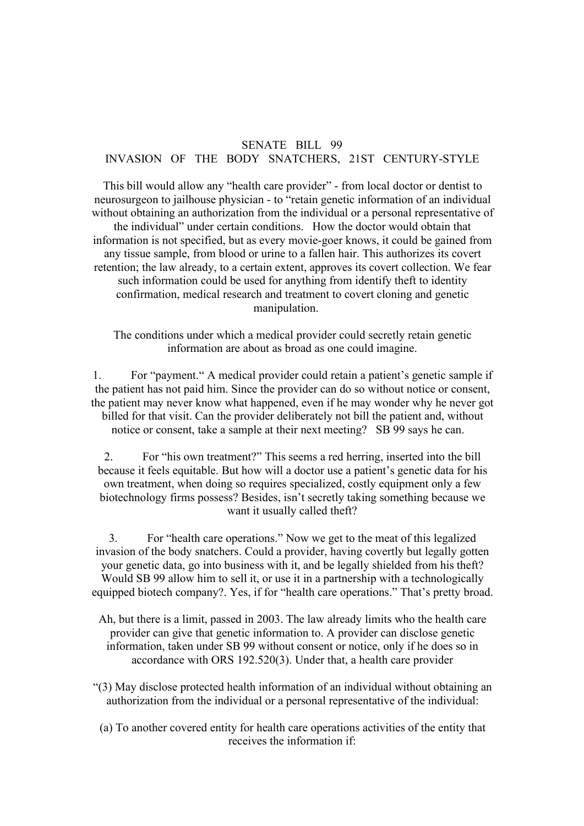## SENATE BILL 99 INVASION OF THE BODY SNATCHERS, 21ST CENTURY-STYLE

This bill would allow any "health care provider" - from local doctor or dentist to neurosurgeon to jailhouse physician - to "retain genetic information of an individual without obtaining an authorization from the individual or a personal representative of the individual" under certain conditions. How the doctor would obtain that information is not specified, but as every movie-goer knows, it could be gained from any tissue sample, from blood or urine to a fallen hair. This authorizes its covert retention; the law already, to a certain extent, approves its covert collection. We fear such information could be used for anything from identify theft to identity confirmation, medical research and treatment to covert cloning and genetic manipulation.

The conditions under which a medical provider could secretly retain genetic information are about as broad as one could imagine.

1. For "payment." A medical provider could retain a patient's genetic sample if the patient has not paid him. Since the provider can do so without notice or consent, the patient may never know what happened, even if he may wonder why he never got billed for that visit. Can the provider deliberately not bill the patient and, without notice or consent, take a sample at their next meeting? SB 99 says he can.

2. For "his own treatment?" This seems a red herring, inserted into the bill because it feels equitable. But how will a doctor use a patient's genetic data for his own treatment, when doing so requires specialized, costly equipment only a few biotechnology firms possess? Besides, isn't secretly taking something because we want it usually called theft?

3. For "health care operations." Now we get to the meat of this legalized invasion of the body snatchers. Could a provider, having covertly but legally gotten your genetic data, go into business with it, and be legally shielded from his theft? Would SB 99 allow him to sell it, or use it in a partnership with a technologically equipped biotech company?. Yes, if for "health care operations." That's pretty broad.

Ah, but there is a limit, passed in 2003. The law already limits who the health care provider can give that genetic information to. A provider can disclose genetic information, taken under SB 99 without consent or notice, only if he does so in accordance with ORS 192.520(3). Under that, a health care provider

- "(3) May disclose protected health information of an individual without obtaining an authorization from the individual or a personal representative of the individual:
- (a) To another covered entity for health care operations activities ofthe entity that receives the information if: